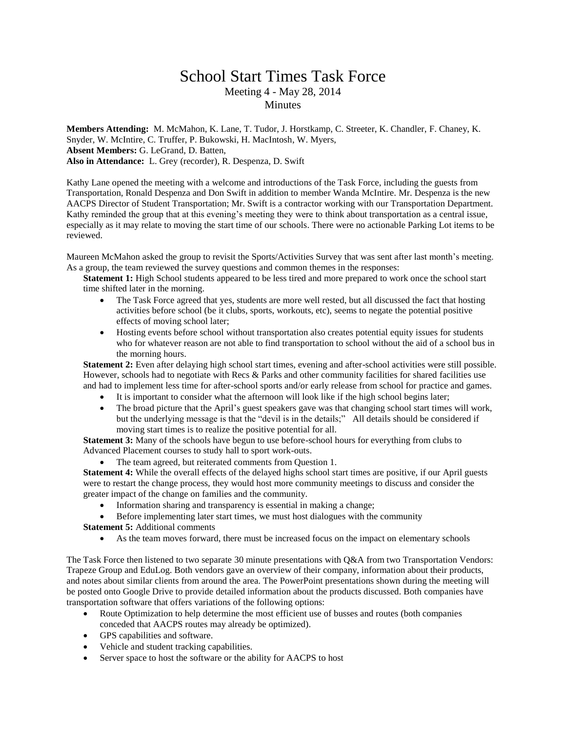## School Start Times Task Force Meeting 4 - May 28, 2014 **Minutes**

**Members Attending:** M. McMahon, K. Lane, T. Tudor, J. Horstkamp, C. Streeter, K. Chandler, F. Chaney, K. Snyder, W. McIntire, C. Truffer, P. Bukowski, H. MacIntosh, W. Myers, **Absent Members:** G. LeGrand, D. Batten, **Also in Attendance:** L. Grey (recorder), R. Despenza, D. Swift

Kathy Lane opened the meeting with a welcome and introductions of the Task Force, including the guests from Transportation, Ronald Despenza and Don Swift in addition to member Wanda McIntire. Mr. Despenza is the new AACPS Director of Student Transportation; Mr. Swift is a contractor working with our Transportation Department. Kathy reminded the group that at this evening's meeting they were to think about transportation as a central issue, especially as it may relate to moving the start time of our schools. There were no actionable Parking Lot items to be reviewed.

Maureen McMahon asked the group to revisit the Sports/Activities Survey that was sent after last month's meeting. As a group, the team reviewed the survey questions and common themes in the responses:

- **Statement 1:** High School students appeared to be less tired and more prepared to work once the school start time shifted later in the morning.
	- The Task Force agreed that yes, students are more well rested, but all discussed the fact that hosting activities before school (be it clubs, sports, workouts, etc), seems to negate the potential positive effects of moving school later;
	- Hosting events before school without transportation also creates potential equity issues for students who for whatever reason are not able to find transportation to school without the aid of a school bus in the morning hours.

**Statement 2:** Even after delaying high school start times, evening and after-school activities were still possible. However, schools had to negotiate with Recs & Parks and other community facilities for shared facilities use and had to implement less time for after-school sports and/or early release from school for practice and games.

- It is important to consider what the afternoon will look like if the high school begins later;
- The broad picture that the April's guest speakers gave was that changing school start times will work, but the underlying message is that the "devil is in the details;" All details should be considered if moving start times is to realize the positive potential for all.

**Statement 3:** Many of the schools have begun to use before-school hours for everything from clubs to Advanced Placement courses to study hall to sport work-outs.

• The team agreed, but reiterated comments from Question 1.

**Statement 4:** While the overall effects of the delayed highs school start times are positive, if our April guests were to restart the change process, they would host more community meetings to discuss and consider the greater impact of the change on families and the community.

- Information sharing and transparency is essential in making a change;
- Before implementing later start times, we must host dialogues with the community

**Statement 5:** Additional comments

As the team moves forward, there must be increased focus on the impact on elementary schools

The Task Force then listened to two separate 30 minute presentations with Q&A from two Transportation Vendors: Trapeze Group and EduLog. Both vendors gave an overview of their company, information about their products, and notes about similar clients from around the area. The PowerPoint presentations shown during the meeting will be posted onto Google Drive to provide detailed information about the products discussed. Both companies have transportation software that offers variations of the following options:

- Route Optimization to help determine the most efficient use of busses and routes (both companies conceded that AACPS routes may already be optimized).
- GPS capabilities and software.
- Vehicle and student tracking capabilities.
- Server space to host the software or the ability for AACPS to host